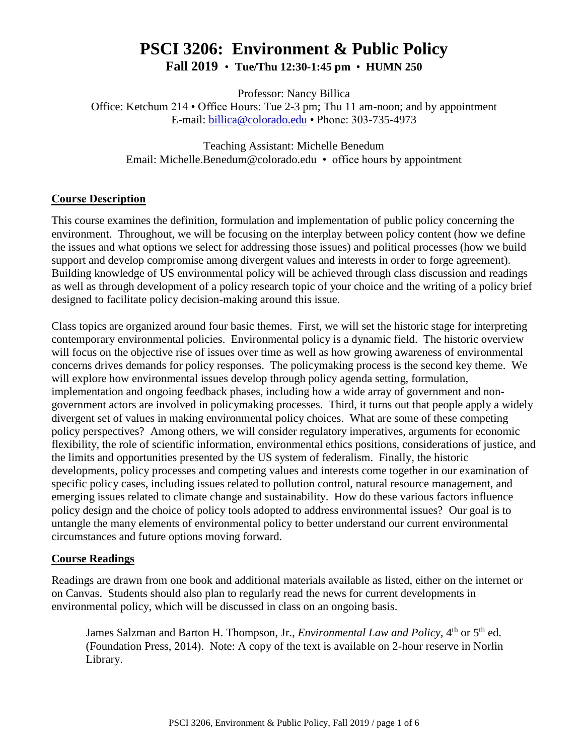# **PSCI 3206: Environment & Public Policy Fall 2019** • **Tue/Thu 12:30-1:45 pm** • **HUMN 250**

Professor: Nancy Billica

Office: Ketchum 214 • Office Hours: Tue 2-3 pm; Thu 11 am-noon; and by appointment E-mail: [billica@colorado.edu](mailto:billica@colorado.edu) • Phone: 303-735-4973

Teaching Assistant: Michelle Benedum Email: Michelle.Benedum@colorado.edu • office hours by appointment

## **Course Description**

This course examines the definition, formulation and implementation of public policy concerning the environment. Throughout, we will be focusing on the interplay between policy content (how we define the issues and what options we select for addressing those issues) and political processes (how we build support and develop compromise among divergent values and interests in order to forge agreement). Building knowledge of US environmental policy will be achieved through class discussion and readings as well as through development of a policy research topic of your choice and the writing of a policy brief designed to facilitate policy decision-making around this issue.

Class topics are organized around four basic themes. First, we will set the historic stage for interpreting contemporary environmental policies. Environmental policy is a dynamic field. The historic overview will focus on the objective rise of issues over time as well as how growing awareness of environmental concerns drives demands for policy responses. The policymaking process is the second key theme. We will explore how environmental issues develop through policy agenda setting, formulation, implementation and ongoing feedback phases, including how a wide array of government and nongovernment actors are involved in policymaking processes. Third, it turns out that people apply a widely divergent set of values in making environmental policy choices. What are some of these competing policy perspectives? Among others, we will consider regulatory imperatives, arguments for economic flexibility, the role of scientific information, environmental ethics positions, considerations of justice, and the limits and opportunities presented by the US system of federalism. Finally, the historic developments, policy processes and competing values and interests come together in our examination of specific policy cases, including issues related to pollution control, natural resource management, and emerging issues related to climate change and sustainability. How do these various factors influence policy design and the choice of policy tools adopted to address environmental issues? Our goal is to untangle the many elements of environmental policy to better understand our current environmental circumstances and future options moving forward.

## **Course Readings**

Readings are drawn from one book and additional materials available as listed, either on the internet or on Canvas. Students should also plan to regularly read the news for current developments in environmental policy, which will be discussed in class on an ongoing basis.

James Salzman and Barton H. Thompson, Jr., *Environmental Law and Policy*, 4<sup>th</sup> or 5<sup>th</sup> ed. (Foundation Press, 2014). Note: A copy of the text is available on 2-hour reserve in Norlin Library.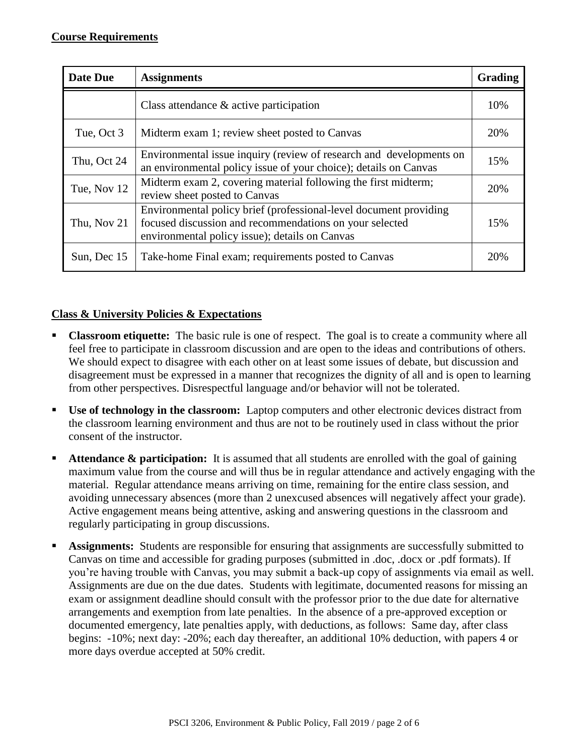| Date Due    | <b>Assignments</b>                                                                                                                                                             | <b>Grading</b> |
|-------------|--------------------------------------------------------------------------------------------------------------------------------------------------------------------------------|----------------|
|             | Class attendance $\&$ active participation                                                                                                                                     | 10%            |
| Tue, Oct 3  | Midterm exam 1; review sheet posted to Canvas                                                                                                                                  | 20%            |
| Thu, Oct 24 | Environmental issue inquiry (review of research and developments on<br>an environmental policy issue of your choice); details on Canvas                                        | 15%            |
| Tue, Nov 12 | Midterm exam 2, covering material following the first midterm;<br>review sheet posted to Canvas                                                                                | 20%            |
| Thu, Nov 21 | Environmental policy brief (professional-level document providing<br>focused discussion and recommendations on your selected<br>environmental policy issue); details on Canvas | 15%            |
| Sun, Dec 15 | Take-home Final exam; requirements posted to Canvas                                                                                                                            | 20%            |

## **Class & University Policies & Expectations**

- **Classroom etiquette:** The basic rule is one of respect. The goal is to create a community where all feel free to participate in classroom discussion and are open to the ideas and contributions of others. We should expect to disagree with each other on at least some issues of debate, but discussion and disagreement must be expressed in a manner that recognizes the dignity of all and is open to learning from other perspectives. Disrespectful language and/or behavior will not be tolerated.
- **Use of technology in the classroom:** Laptop computers and other electronic devices distract from the classroom learning environment and thus are not to be routinely used in class without the prior consent of the instructor.
- **Attendance & participation:** It is assumed that all students are enrolled with the goal of gaining maximum value from the course and will thus be in regular attendance and actively engaging with the material. Regular attendance means arriving on time, remaining for the entire class session, and avoiding unnecessary absences (more than 2 unexcused absences will negatively affect your grade). Active engagement means being attentive, asking and answering questions in the classroom and regularly participating in group discussions.
- **Assignments:** Students are responsible for ensuring that assignments are successfully submitted to Canvas on time and accessible for grading purposes (submitted in .doc, .docx or .pdf formats). If you're having trouble with Canvas, you may submit a back-up copy of assignments via email as well. Assignments are due on the due dates. Students with legitimate, documented reasons for missing an exam or assignment deadline should consult with the professor prior to the due date for alternative arrangements and exemption from late penalties. In the absence of a pre-approved exception or documented emergency, late penalties apply, with deductions, as follows: Same day, after class begins: -10%; next day: -20%; each day thereafter, an additional 10% deduction, with papers 4 or more days overdue accepted at 50% credit.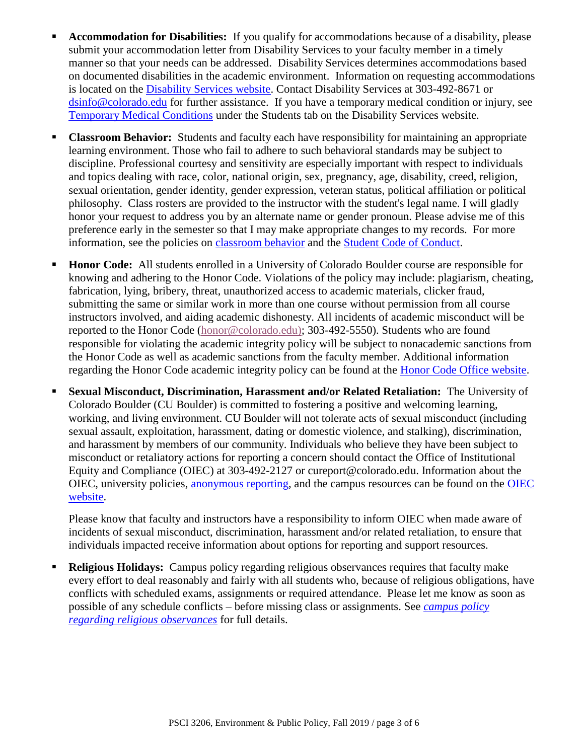- **Accommodation for Disabilities:** If you qualify for accommodations because of a disability, please submit your accommodation letter from Disability Services to your faculty member in a timely manner so that your needs can be addressed. Disability Services determines accommodations based on documented disabilities in the academic environment. Information on requesting accommodations is located on the [Disability Services website.](http://www.colorado.edu/disabilityservices/students) Contact Disability Services at 303-492-8671 or [dsinfo@colorado.edu](mailto:dsinfo@colorado.edu) for further assistance. If you have a temporary medical condition or injury, see [Temporary Medical Conditions](http://www.colorado.edu/disabilityservices/students/temporary-medical-conditions) under the Students tab on the Disability Services website.
- **Classroom Behavior:** Students and faculty each have responsibility for maintaining an appropriate learning environment. Those who fail to adhere to such behavioral standards may be subject to discipline. Professional courtesy and sensitivity are especially important with respect to individuals and topics dealing with race, color, national origin, sex, pregnancy, age, disability, creed, religion, sexual orientation, gender identity, gender expression, veteran status, political affiliation or political philosophy. Class rosters are provided to the instructor with the student's legal name. I will gladly honor your request to address you by an alternate name or gender pronoun. Please advise me of this preference early in the semester so that I may make appropriate changes to my records. For more information, see the policies on [classroom behavior](http://www.colorado.edu/policies/student-classroom-and-course-related-behavior) and the [Student Code of Conduct.](http://www.colorado.edu/osccr/)
- **Honor Code:** All students enrolled in a University of Colorado Boulder course are responsible for knowing and adhering to the Honor Code. Violations of the policy may include: plagiarism, cheating, fabrication, lying, bribery, threat, unauthorized access to academic materials, clicker fraud, submitting the same or similar work in more than one course without permission from all course instructors involved, and aiding academic dishonesty. All incidents of academic misconduct will be reported to the Honor Code [\(honor@colorado.edu\)](mailto:honor@colorado.edu); 303-492-5550). Students who are found responsible for violating the academic integrity policy will be subject to nonacademic sanctions from the Honor Code as well as academic sanctions from the faculty member. Additional information regarding the Honor Code academic integrity policy can be found at the [Honor Code Office website.](https://www.colorado.edu/osccr/honor-code)
- **Sexual Misconduct, Discrimination, Harassment and/or Related Retaliation:** The University of Colorado Boulder (CU Boulder) is committed to fostering a positive and welcoming learning, working, and living environment. CU Boulder will not tolerate acts of sexual misconduct (including sexual assault, exploitation, harassment, dating or domestic violence, and stalking), discrimination, and harassment by members of our community. Individuals who believe they have been subject to misconduct or retaliatory actions for reporting a concern should contact the Office of Institutional Equity and Compliance (OIEC) at 303-492-2127 or cureport@colorado.edu. Information about the OIEC, university policies, [anonymous reporting,](https://cuboulder.qualtrics.com/jfe/form/SV_0PnqVK4kkIJIZnf) and the campus resources can be found on the [OIEC](http://www.colorado.edu/institutionalequity/)  [website.](http://www.colorado.edu/institutionalequity/)

Please know that faculty and instructors have a responsibility to inform OIEC when made aware of incidents of sexual misconduct, discrimination, harassment and/or related retaliation, to ensure that individuals impacted receive information about options for reporting and support resources.

 **Religious Holidays:** Campus policy regarding religious observances requires that faculty make every effort to deal reasonably and fairly with all students who, because of religious obligations, have conflicts with scheduled exams, assignments or required attendance. Please let me know as soon as possible of any schedule conflicts – before missing class or assignments. See *[campus policy](http://www.colorado.edu/policies/observance-religious-holidays-and-absences-classes-andor-exams)  [regarding religious observances](http://www.colorado.edu/policies/observance-religious-holidays-and-absences-classes-andor-exams)* for full details.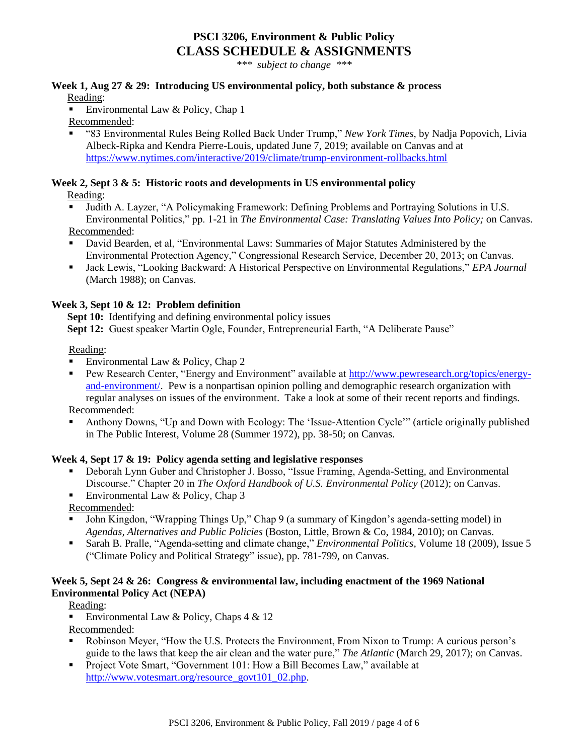## **PSCI 3206, Environment & Public Policy CLASS SCHEDULE & ASSIGNMENTS**

*\*\*\* subject to change \*\*\**

#### **Week 1, Aug 27 & 29: Introducing US environmental policy, both substance & process**

Reading:

Environmental Law & Policy, Chap 1

Recommended:

 "83 Environmental Rules Being Rolled Back Under Trump," *New York Times*, by Nadja Popovich, Livia Albeck-Ripka and Kendra Pierre-Louis, updated June 7, 2019; available on Canvas and at <https://www.nytimes.com/interactive/2019/climate/trump-environment-rollbacks.html>

## **Week 2, Sept 3 & 5: Historic roots and developments in US environmental policy**

Reading:

- Judith A. Layzer, "A Policymaking Framework: Defining Problems and Portraying Solutions in U.S. Environmental Politics," pp. 1-21 in *The Environmental Case: Translating Values Into Policy;* on Canvas. Recommended:
- David Bearden, et al, "Environmental Laws: Summaries of Major Statutes Administered by the Environmental Protection Agency," Congressional Research Service, December 20, 2013; on Canvas.
- Jack Lewis, "Looking Backward: A Historical Perspective on Environmental Regulations," *EPA Journal*  (March 1988); on Canvas.

## **Week 3, Sept 10 & 12: Problem definition**

**Sept 10:** Identifying and defining environmental policy issues

 **Sept 12:** Guest speaker Martin Ogle, Founder, Entrepreneurial Earth, "A Deliberate Pause"

#### Reading:

- Environmental Law & Policy, Chap 2
- Pew Research Center, "Energy and Environment" available at [http://www.pewresearch.org/topics/energy](http://www.pewresearch.org/topics/energy-and-environment/)[and-environment/.](http://www.pewresearch.org/topics/energy-and-environment/) Pew is a nonpartisan opinion polling and demographic research organization with regular analyses on issues of the environment. Take a look at some of their recent reports and findings. Recommended:
- Anthony Downs, "Up and Down with Ecology: The 'Issue-Attention Cycle'" (article originally published in The Public Interest, Volume 28 (Summer 1972), pp. 38-50; on Canvas.

## **Week 4, Sept 17 & 19: Policy agenda setting and legislative responses**

- Deborah Lynn Guber and Christopher J. Bosso, "Issue Framing, Agenda-Setting, and Environmental Discourse." Chapter 20 in *The Oxford Handbook of U.S. Environmental Policy* (2012); on Canvas.
- Environmental Law & Policy, Chap  $3$

Recommended:

- John Kingdon, "Wrapping Things Up," Chap 9 (a summary of Kingdon's agenda-setting model) in *Agendas, Alternatives and Public Policies* (Boston, Little, Brown & Co, 1984, 2010); on Canvas.
- Sarah B. Pralle, "Agenda-setting and climate change," *Environmental Politics,* Volume 18 (2009), Issue 5 ("Climate Policy and Political Strategy" issue), pp. 781-799, on Canvas.

## **Week 5, Sept 24 & 26: Congress & environmental law, including enactment of the 1969 National Environmental Policy Act (NEPA)**

Reading:

Environmental Law & Policy, Chaps  $4 \& 12$ 

Recommended:

- Robinson Meyer, "How the U.S. Protects the Environment, From Nixon to Trump: A curious person's guide to the laws that keep the air clean and the water pure," *The Atlantic* (March 29, 2017); on Canvas.
- Project Vote Smart, "Government 101: How a Bill Becomes Law," available at [http://www.votesmart.org/resource\\_govt101\\_02.php.](http://www.votesmart.org/resource_govt101_02.php)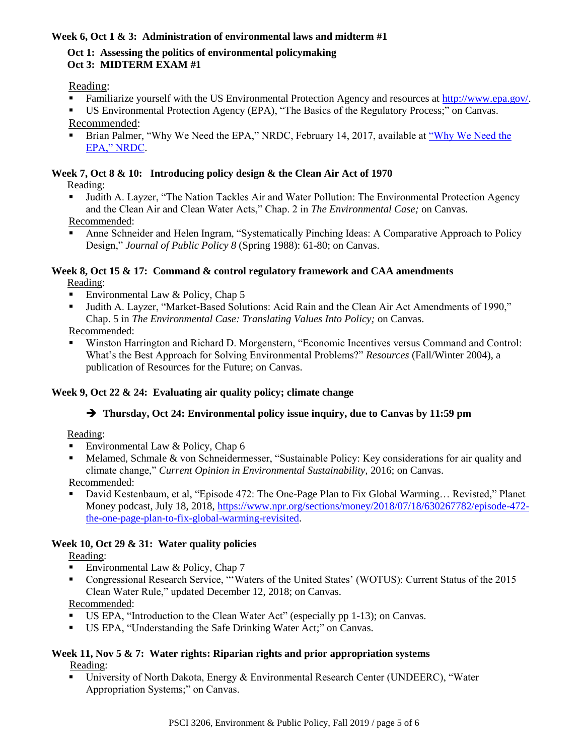## **Week 6, Oct 1 & 3: Administration of environmental laws and midterm #1**

#### **Oct 1: Assessing the politics of environmental policymaking Oct 3: MIDTERM EXAM #1**

#### Reading:

- Familiarize yourself with the US Environmental Protection Agency and resources at [http://www.epa.gov/.](http://www.epa.gov/)
- US Environmental Protection Agency (EPA), "The Basics of the Regulatory Process;" on Canvas. Recommended:
- Brian Palmer, ["Why We Need the](https://www.nrdc.org/stories/why-we-need-epa?gclid=CjwKCAjwtIXbBRBhEiwAWV-5nvUMraJNdWNR9KbXzmWm2qKvk0694MUTIag1AZZqmE-KWk0YeK8m3RoCJ-UQAvD_BwE) EPA," NRDC, February 14, 2017, available at "Why We Need the [EPA," NRDC.](https://www.nrdc.org/stories/why-we-need-epa?gclid=CjwKCAjwtIXbBRBhEiwAWV-5nvUMraJNdWNR9KbXzmWm2qKvk0694MUTIag1AZZqmE-KWk0YeK8m3RoCJ-UQAvD_BwE)

## **Week 7, Oct 8 & 10: Introducing policy design & the Clean Air Act of 1970**

Reading:

- Judith A. Layzer, "The Nation Tackles Air and Water Pollution: The Environmental Protection Agency and the Clean Air and Clean Water Acts," Chap. 2 in *The Environmental Case;* on Canvas. Recommended:
- Anne Schneider and Helen Ingram, "Systematically Pinching Ideas: A Comparative Approach to Policy Design," *Journal of Public Policy 8* (Spring 1988): 61-80; on Canvas.

#### **Week 8, Oct 15 & 17: Command & control regulatory framework and CAA amendments** Reading:

- Environmental Law  $&$  Policy, Chap 5
- Judith A. Layzer, "Market-Based Solutions: Acid Rain and the Clean Air Act Amendments of 1990," Chap. 5 in *The Environmental Case: Translating Values Into Policy;* on Canvas.

Recommended:

 Winston Harrington and Richard D. Morgenstern, "Economic Incentives versus Command and Control: What's the Best Approach for Solving Environmental Problems?" *Resources* (Fall/Winter 2004), a publication of Resources for the Future; on Canvas.

## **Week 9, Oct 22 & 24: Evaluating air quality policy; climate change**

## **Thursday, Oct 24: Environmental policy issue inquiry, due to Canvas by 11:59 pm**

Reading:

- Environmental Law  $&$  Policy, Chap 6
- Melamed, Schmale & von Schneidermesser, "Sustainable Policy: Key considerations for air quality and climate change," *Current Opinion in Environmental Sustainability,* 2016; on Canvas.

Recommended:

 David Kestenbaum, et al, "Episode 472: The One-Page Plan to Fix Global Warming… Revisted," Planet Money podcast, July 18, 2018, [https://www.npr.org/sections/money/2018/07/18/630267782/episode-472](https://www.npr.org/sections/money/2018/07/18/630267782/episode-472-the-one-page-plan-to-fix-global-warming-revisited) [the-one-page-plan-to-fix-global-warming-revisited.](https://www.npr.org/sections/money/2018/07/18/630267782/episode-472-the-one-page-plan-to-fix-global-warming-revisited)

## **Week 10, Oct 29 & 31: Water quality policies**

Reading:

- Environmental Law & Policy, Chap  $7$
- Congressional Research Service, "'Waters of the United States' (WOTUS): Current Status of the 2015 Clean Water Rule," updated December 12, 2018; on Canvas.

Recommended:

- US EPA, "Introduction to the Clean Water Act" (especially pp 1-13); on Canvas.
- US EPA, "Understanding the Safe Drinking Water Act;" on Canvas.

#### **Week 11, Nov 5 & 7: Water rights: Riparian rights and prior appropriation systems** Reading:

 University of North Dakota, Energy & Environmental Research Center (UNDEERC), "Water Appropriation Systems;" on Canvas.